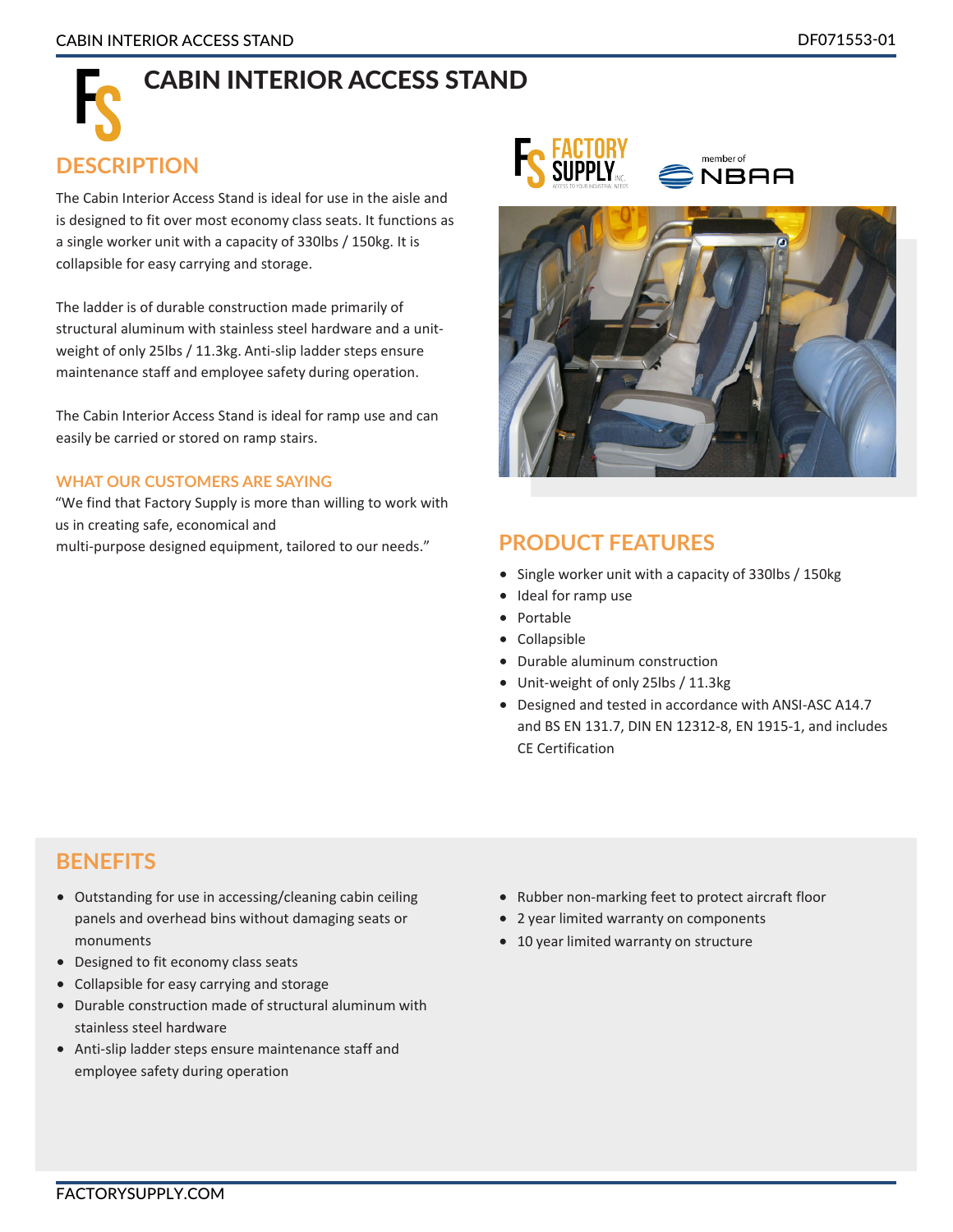# CABIN INTERIOR ACCESS STAND

#### **DESCRIPTION**

The Cabin Interior Access Stand is ideal for use in the aisle and is designed to fit over most economy class seats. It functions as a single worker unit with a capacity of 330lbs / 150kg. It is collapsible for easy carrying and storage.

The ladder is of durable construction made primarily of structural aluminum with stainless steel hardware and a unitweight of only 25lbs / 11.3kg. Anti-slip ladder steps ensure maintenance staff and employee safety during operation.

The Cabin Interior Access Stand is ideal for ramp use and can easily be carried or stored on ramp stairs.

#### **WHAT OUR CUSTOMERS ARE SAYING**

"We find that Factory Supply is more than willing to work with us in creating safe, economical and multi-purpose designed equipment, tailored to our needs."





#### **PRODUCT FEATURES**

- Single worker unit with a capacity of 330lbs / 150kg
- Ideal for ramp use
- Portable
- Collapsible
- Durable aluminum construction
- Unit-weight of only 25lbs / 11.3kg
- Designed and tested in accordance with ANSI-ASC A14.7 and BS EN 131.7, DIN EN 12312-8, EN 1915-1, and includes CE Certification

#### **BENEFITS**

- Outstanding for use in accessing/cleaning cabin ceiling panels and overhead bins without damaging seats or monuments
- Designed to fit economy class seats
- Collapsible for easy carrying and storage
- Durable construction made of structural aluminum with stainless steel hardware
- Anti-slip ladder steps ensure maintenance staff and employee safety during operation
- Rubber non-marking feet to protect aircraft floor
- 2 year limited warranty on components
- 10 year limited warranty on structure